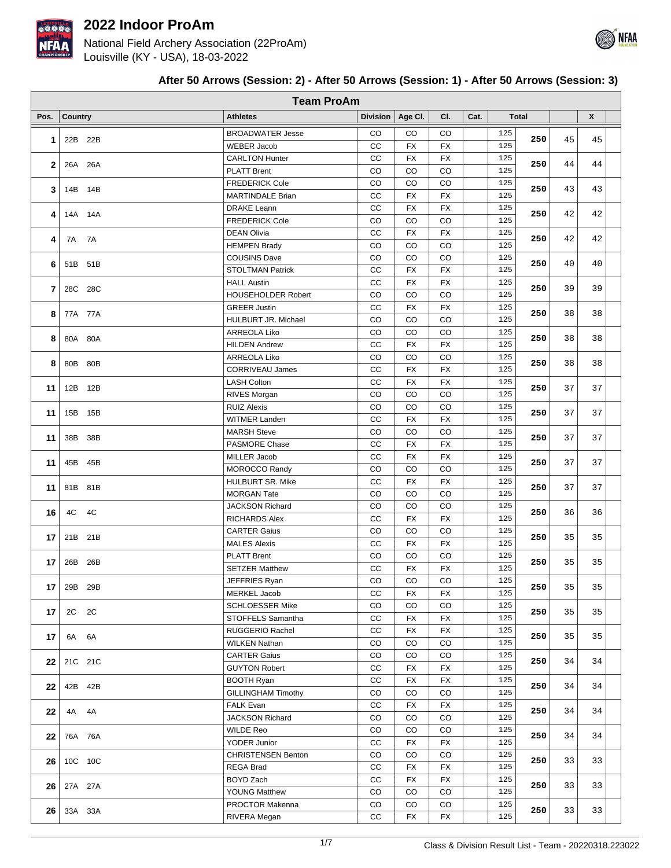

National Field Archery Association (22ProAm) Louisville (KY - USA), 18-03-2022

|      |                |         | <b>Team ProAm</b>                           |             |             |             |      |                  |     |    |    |  |
|------|----------------|---------|---------------------------------------------|-------------|-------------|-------------|------|------------------|-----|----|----|--|
| Pos. | <b>Country</b> |         | <b>Athletes</b>                             | Division    | Age Cl.     | CI.         | Cat. | <b>Total</b>     |     |    | X  |  |
|      |                |         | <b>BROADWATER Jesse</b>                     | CO          | CO          | CO          |      | 125              | 250 | 45 | 45 |  |
| 1    |                | 22B 22B | <b>WEBER Jacob</b>                          | cc          | <b>FX</b>   | FX          |      | 125              |     |    |    |  |
| 2    |                | 26A 26A | <b>CARLTON Hunter</b>                       | cc          | <b>FX</b>   | <b>FX</b>   |      | 125              | 250 | 44 | 44 |  |
|      |                |         | <b>PLATT Brent</b>                          | CO          | CO          | CO          |      | 125              |     |    |    |  |
| 3    |                | 14B 14B | <b>FREDERICK Cole</b>                       | CO          | CO          | CO          |      | 125              | 250 | 43 | 43 |  |
|      |                |         | <b>MARTINDALE Brian</b>                     | cc          | <b>FX</b>   | <b>FX</b>   |      | 125              |     |    |    |  |
| 4    |                | 14A 14A | <b>DRAKE Leann</b>                          | CC          | <b>FX</b>   | <b>FX</b>   |      | 125              | 250 | 42 | 42 |  |
|      |                |         | <b>FREDERICK Cole</b>                       | CO          | CO          | CO          |      | 125              |     |    |    |  |
| 4    | 7A 7A          |         | <b>DEAN Olivia</b>                          | cc          | FX          | FX          |      | 125              | 250 | 42 | 42 |  |
|      |                |         | <b>HEMPEN Brady</b><br><b>COUSINS Dave</b>  | CO<br>CO    | CO<br>CO    | CO<br>CO    |      | 125<br>125       |     |    |    |  |
| 6    |                | 51B 51B | <b>STOLTMAN Patrick</b>                     | cc          | <b>FX</b>   | <b>FX</b>   |      | 125              | 250 | 40 | 40 |  |
|      |                |         | <b>HALL Austin</b>                          | $_{\rm CC}$ | FX          | <b>FX</b>   |      | 125              |     |    |    |  |
| 7    |                | 28C 28C | <b>HOUSEHOLDER Robert</b>                   | CO          | CO          | CO          |      | 125              | 250 | 39 | 39 |  |
|      |                |         | <b>GREER Justin</b>                         | CC          | <b>FX</b>   | <b>FX</b>   |      | 125              |     |    |    |  |
| 8    |                | 77A 77A | HULBURT JR. Michael                         | CO          | CO          | $_{\rm CO}$ |      | 125              | 250 | 38 | 38 |  |
|      |                |         | ARREOLA Liko                                | CO          | CO          | $_{\rm CO}$ |      | 125              |     |    |    |  |
| 8    |                | 80A 80A | <b>HILDEN Andrew</b>                        | cc          | FX          | FX          |      | 125              | 250 | 38 | 38 |  |
|      |                |         | ARREOLA Liko                                | CO          | CO          | CO          |      | 125              |     |    |    |  |
| 8    |                | 80B 80B | <b>CORRIVEAU James</b>                      | cc          | <b>FX</b>   | <b>FX</b>   |      | 125              | 250 | 38 | 38 |  |
|      |                |         | <b>LASH Colton</b>                          | cc          | <b>FX</b>   | <b>FX</b>   |      | 125              |     | 37 | 37 |  |
| 11   |                | 12B 12B | RIVES Morgan                                | CO          | CO          | CO          |      | 125              | 250 |    |    |  |
| 11   |                | 15B 15B | <b>RUIZ Alexis</b>                          | CO          | CO          | CO          |      | 125              | 250 | 37 | 37 |  |
|      |                |         | <b>WITMER Landen</b>                        | cc          | <b>FX</b>   | <b>FX</b>   |      | 125              |     |    |    |  |
| 11   |                | 38B 38B | <b>MARSH Steve</b>                          | CO          | CO          | CO          |      | 125              | 250 | 37 | 37 |  |
|      |                |         | PASMORE Chase                               | CC          | FX          | FX          |      | 125              |     |    |    |  |
| 11   |                | 45B 45B | <b>MILLER Jacob</b>                         | cc          | FX          | FX          |      | 125              | 250 | 37 | 37 |  |
|      |                |         | <b>MOROCCO Randy</b>                        | CO          | CO          | CO          |      | 125              |     |    |    |  |
| 11   |                | 81B 81B | <b>HULBURT SR. Mike</b>                     | cc          | <b>FX</b>   | <b>FX</b>   |      | 125              | 250 | 37 | 37 |  |
|      |                |         | <b>MORGAN Tate</b>                          | CO          | CO          | CO          |      | 125              |     |    |    |  |
| 16   | 4C             | 4C      | <b>JACKSON Richard</b>                      | CO          | CO          | CO          |      | 125              | 250 | 36 | 36 |  |
|      |                |         | <b>RICHARDS Alex</b><br><b>CARTER Gaius</b> | cc<br>CO    | FX<br>CO    | FX<br>CO    |      | 125<br>125       |     |    |    |  |
| 17   |                | 21B 21B | <b>MALES Alexis</b>                         | СC          | FX          | FX          |      | 125              | 250 | 35 | 35 |  |
|      |                |         | <b>PLATT Brent</b>                          | CO          | CO          | CO          |      | 125              |     |    |    |  |
| 17   |                | 26B 26B | <b>SETZER Matthew</b>                       | cc          | FX          | FX          |      | 125              | 250 | 35 | 35 |  |
|      |                |         | JEFFRIES Ryan                               | $_{\rm CO}$ | $_{\rm CO}$ | $_{\rm CO}$ |      | $\overline{125}$ |     |    |    |  |
| 17   |                | 29B 29B | MERKEL Jacob                                | СC          | FX          | FX          |      | 125              | 250 | 35 | 35 |  |
|      |                |         | <b>SCHLOESSER Mike</b>                      | $_{\rm CO}$ | CO          | CO          |      | 125              |     |    |    |  |
| 17   | 2C 2C          |         | STOFFELS Samantha                           | cc          | FX          | <b>FX</b>   |      | 125              | 250 | 35 | 35 |  |
|      |                |         | RUGGERIO Rachel                             | CC          | FX          | FX          |      | 125              |     |    |    |  |
| 17   |                | 6A 6A   | <b>WILKEN Nathan</b>                        | CO          | CO          | CO          |      | 125              | 250 | 35 | 35 |  |
| 22   |                | 21C 21C | <b>CARTER Gaius</b>                         | CO          | CO          | CO          |      | 125              | 250 | 34 | 34 |  |
|      |                |         | <b>GUYTON Robert</b>                        | cc          | FX          | FX          |      | 125              |     |    |    |  |
| 22   |                | 42B 42B | <b>BOOTH Ryan</b>                           | cc          | FX          | FX          |      | 125              | 250 | 34 | 34 |  |
|      |                |         | <b>GILLINGHAM Timothy</b>                   | CO          | CO          | CO          |      | 125              |     |    |    |  |
| 22   | 4A 4A          |         | <b>FALK Evan</b>                            | СC          | FX          | FX          |      | 125              | 250 | 34 | 34 |  |
|      |                |         | JACKSON Richard                             | $_{\rm CO}$ | CO          | CO          |      | 125              |     |    |    |  |
| 22   |                | 76A 76A | WILDE Reo                                   | CO          | CO          | $_{\rm CO}$ |      | 125              | 250 | 34 | 34 |  |
|      |                |         | YODER Junior                                | CC          | FX          | FX          |      | 125              |     |    |    |  |
| 26   |                | 10C 10C | <b>CHRISTENSEN Benton</b>                   | CO          | CO          | CO          |      | 125              | 250 | 33 | 33 |  |
|      |                |         | REGA Brad                                   | СC<br>CC    | FX<br>FX    | FX<br>FX    |      | 125<br>125       |     |    |    |  |
| 26   |                | 27A 27A | BOYD Zach<br><b>YOUNG Matthew</b>           | $_{\rm CO}$ | CO          | CO          |      | 125              | 250 | 33 | 33 |  |
|      |                |         | PROCTOR Makenna                             | CO          | CO          | CO          |      | 125              |     |    |    |  |
| 26   |                | 33A 33A | RIVERA Megan                                | cc          | FX          | FX          |      | 125              | 250 | 33 | 33 |  |

## **After 50 Arrows (Session: 2) - After 50 Arrows (Session: 1) - After 50 Arrows (Session: 3)**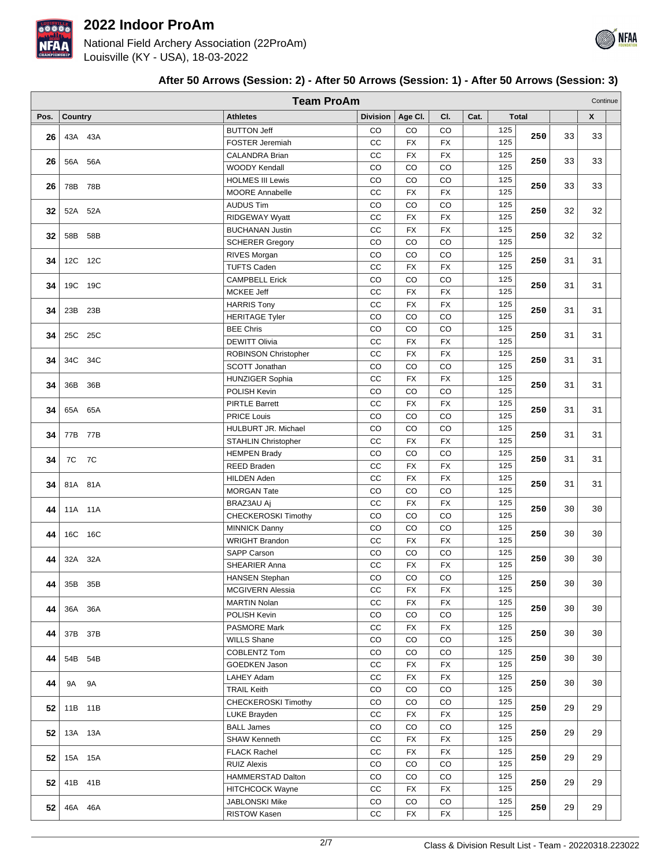

National Field Archery Association (22ProAm) Louisville (KY - USA), 18-03-2022

| Pos. | Country      | <b>Athletes</b>                               | Division    | Age CI.         | CI.         | Cat. |            | Total |    | X  |  |
|------|--------------|-----------------------------------------------|-------------|-----------------|-------------|------|------------|-------|----|----|--|
| 26   | 43A 43A      | <b>BUTTON Jeff</b>                            | CO          | CO              | CO          |      | 125        | 250   | 33 | 33 |  |
|      |              | <b>FOSTER Jeremiah</b>                        | cc          | <b>FX</b>       | <b>FX</b>   |      | 125        |       |    |    |  |
| 26   | 56A 56A      | <b>CALANDRA Brian</b>                         | CC          | <b>FX</b>       | <b>FX</b>   |      | 125        | 250   | 33 | 33 |  |
|      |              | <b>WOODY Kendall</b>                          | CO          | CO              | CO          |      | 125        |       |    |    |  |
| 26   | 78B 78B      | <b>HOLMES III Lewis</b>                       | CO          | CO              | CO          |      | 125        | 250   | 33 | 33 |  |
|      |              | <b>MOORE Annabelle</b>                        | CC          | <b>FX</b>       | FX          |      | 125        |       |    |    |  |
| 32   | 52A 52A      | <b>AUDUS Tim</b>                              | CO          | CO              | CO          |      | 125        | 250   | 32 | 32 |  |
|      |              | RIDGEWAY Wyatt                                | cc          | FX              | FX          |      | 125        |       |    |    |  |
| 32   | 58B 58B      | <b>BUCHANAN Justin</b>                        | cc          | FX              | FX          |      | 125        | 250   | 32 | 32 |  |
|      |              | <b>SCHERER Gregory</b>                        | CO          | CO              | CO          |      | 125        |       |    |    |  |
| 34   | 12C 12C      | RIVES Morgan                                  | CO          | CO              | CO          |      | 125        | 250   | 31 | 31 |  |
|      |              | <b>TUFTS Caden</b>                            | CC          | <b>FX</b>       | <b>FX</b>   |      | 125        |       |    |    |  |
| 34   | 19C 19C      | <b>CAMPBELL Erick</b>                         | CO          | CO              | CO          |      | 125        | 250   | 31 | 31 |  |
|      |              | MCKEE Jeff                                    | cc          | <b>FX</b>       | <b>FX</b>   |      | 125        |       |    |    |  |
| 34   | 23B 23B      | <b>HARRIS Tony</b>                            | CC          | FX              | FX          |      | 125        | 250   | 31 | 31 |  |
|      |              | <b>HERITAGE Tyler</b>                         | CO          | CO              | CO          |      | 125        |       |    |    |  |
| 34   | 25C 25C      | <b>BEE Chris</b>                              | CO          | CO              | CO          |      | 125        | 250   | 31 | 31 |  |
|      |              | <b>DEWITT Olivia</b>                          | cc          | <b>FX</b>       | <b>FX</b>   |      | 125        |       |    |    |  |
| 34   | 34C 34C      | <b>ROBINSON Christopher</b>                   | cc          | <b>FX</b>       | <b>FX</b>   |      | 125        | 250   | 31 | 31 |  |
|      |              | SCOTT Jonathan                                | CO          | CO              | CO          |      | 125        |       |    |    |  |
| 34   | 36B 36B      | <b>HUNZIGER Sophia</b>                        | CC          | <b>FX</b>       | <b>FX</b>   |      | 125        | 250   | 31 | 31 |  |
|      |              | POLISH Kevin                                  | CO          | CO              | CO          |      | 125        |       |    |    |  |
| 34   | 65A 65A      | <b>PIRTLE Barrett</b>                         | СC          | <b>FX</b>       | FX          |      | 125        | 250   | 31 | 31 |  |
|      |              | <b>PRICE Louis</b>                            | CO          | CO              | CO          |      | 125        |       |    |    |  |
| 34   | 77B 77B      | HULBURT JR. Michael                           | CO          | CO              | CO          |      | 125        | 250   | 31 | 31 |  |
|      |              | <b>STAHLIN Christopher</b>                    | cc          | FX              | FX          |      | 125        |       |    |    |  |
| 34   | 7C 7C        | <b>HEMPEN Brady</b>                           | CO          | CO              | CO          |      | 125        | 250   | 31 | 31 |  |
|      |              | REED Braden                                   | cc          | <b>FX</b>       | FX          |      | 125        |       |    |    |  |
| 34   | 81A 81A      | <b>HILDEN Aden</b>                            | cc          | <b>FX</b>       | <b>FX</b>   |      | 125        | 250   | 31 | 31 |  |
|      |              | <b>MORGAN Tate</b>                            | CO<br>CC    | CO<br><b>FX</b> | CO          |      | 125        |       |    |    |  |
| 44   | 11A 11A      | BRAZ3AU Aj                                    |             |                 | FX          |      | 125<br>125 | 250   | 30 | 30 |  |
|      |              | CHECKEROSKI Timothy                           | CO<br>CO    | CO<br>CO        | CO<br>CO    |      | 125        |       |    |    |  |
| 44   | 16C 16C      | <b>MINNICK Danny</b><br><b>WRIGHT Brandon</b> | cc          | <b>FX</b>       | FX          |      | 125        | 250   | 30 | 30 |  |
|      |              | <b>SAPP Carson</b>                            | CO          | CO              | CO          |      | 125        |       |    |    |  |
| 44   | 32A 32A      | SHEARIER Anna                                 | cc          | <b>FX</b>       | <b>FX</b>   |      | 125        | 250   | 30 | 30 |  |
|      |              | <b>HANSEN Stephan</b>                         | CO          | CO              | CO          |      | 125        |       |    |    |  |
| 44   | 35B 35B      | <b>MCGIVERN Alessia</b>                       | cc          | <b>FX</b>       | <b>FX</b>   |      | 125        | 250   | 30 | 30 |  |
|      |              | <b>MARTIN Nolan</b>                           | CC          | <b>FX</b>       | <b>FX</b>   |      | 125        |       |    |    |  |
| 44   | 36A 36A      | POLISH Kevin                                  | CO          | CO              | CO          |      | 125        | 250   | 30 | 30 |  |
|      |              | <b>PASMORE Mark</b>                           | CC          | FX              | FX          |      | 125        |       |    |    |  |
| 44   | 37B 37B      | <b>WILLS Shane</b>                            | CO          | $_{\rm CO}$     | CO          |      | 125        | 250   | 30 | 30 |  |
|      |              | COBLENTZ Tom                                  | CO          | $_{\rm CO}$     | CO          |      | 125        |       |    |    |  |
| 44   | 54B 54B      | GOEDKEN Jason                                 | cc          | <b>FX</b>       | FX          |      | 125        | 250   | 30 | 30 |  |
|      |              | LAHEY Adam                                    | cc          | <b>FX</b>       | FX          |      | 125        |       |    |    |  |
| 44   | 9A 9A        | <b>TRAIL Keith</b>                            | CO          | $_{\rm CO}$     | $_{\rm CO}$ |      | 125        | 250   | 30 | 30 |  |
|      |              | <b>CHECKEROSKI Timothy</b>                    | CO          | $_{\rm CO}$     | $_{\rm CO}$ |      | 125        |       |    |    |  |
|      | 52 11B 11B   | LUKE Brayden                                  | CC          | <b>FX</b>       | <b>FX</b>   |      | 125        | 250   | 29 | 29 |  |
|      |              | <b>BALL James</b>                             | CO          | CO              | CO          |      | 125        |       |    |    |  |
|      | 52 13A 13A   | <b>SHAW Kenneth</b>                           | CC          | <b>FX</b>       | FX          |      | 125        | 250   | 29 | 29 |  |
|      |              | <b>FLACK Rachel</b>                           | CC          | FX              | FX          |      | 125        |       |    |    |  |
|      | $52$ 15A 15A | <b>RUIZ Alexis</b>                            | CO          | $_{\rm CO}$     | $_{\rm CO}$ |      | 125        | 250   | 29 | 29 |  |
|      |              | HAMMERSTAD Dalton                             | CO          | $_{\rm CO}$     | CO          |      | 125        |       |    |    |  |
|      | $52$ 41B 41B | <b>HITCHCOCK Wayne</b>                        | cc          | <b>FX</b>       | FX          |      | 125        | 250   | 29 | 29 |  |
|      |              | <b>JABLONSKI Mike</b>                         | $_{\rm CO}$ | CO              | CO          |      | 125        |       |    |    |  |
|      | $52$ 46A 46A | RISTOW Kasen                                  | cc          | FX              | FX          |      | 125        | 250   | 29 | 29 |  |
|      |              |                                               |             |                 |             |      |            |       |    |    |  |

## **After 50 Arrows (Session: 2) - After 50 Arrows (Session: 1) - After 50 Arrows (Session: 3)**

**Team ProAm** Continue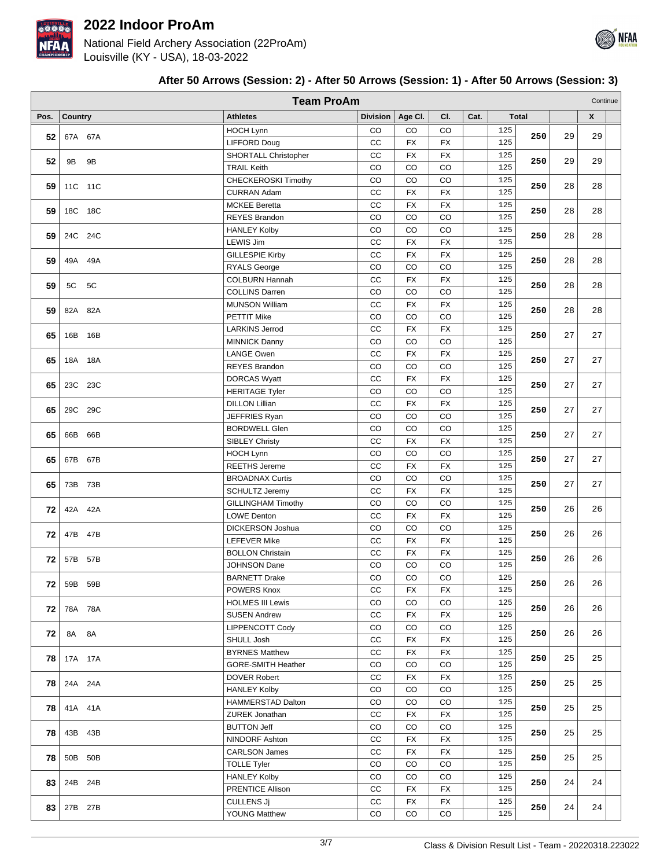

National Field Archery Association (22ProAm) Louisville (KY - USA), 18-03-2022



## **After 50 Arrows (Session: 2) - After 50 Arrows (Session: 1) - After 50 Arrows (Session: 3)**

|      |            | <b>Team ProAm</b>         |                 |           |             |      |     |              |    |                    | Continue |
|------|------------|---------------------------|-----------------|-----------|-------------|------|-----|--------------|----|--------------------|----------|
| Pos. | Country    | <b>Athletes</b>           | <b>Division</b> | Age Cl.   | CI.         | Cat. |     | <b>Total</b> |    | $\pmb{\mathsf{X}}$ |          |
|      |            | <b>HOCH Lynn</b>          | CO              | CO        | CO          |      | 125 |              |    |                    |          |
| 52   | 67A 67A    | <b>LIFFORD Doug</b>       | CC              | <b>FX</b> | <b>FX</b>   |      | 125 | 250          | 29 | 29                 |          |
|      |            | SHORTALL Christopher      | CC              | <b>FX</b> | <b>FX</b>   |      | 125 |              |    |                    |          |
| 52   | 9B<br>9B   | <b>TRAIL Keith</b>        | CO              | CO        | CO          |      | 125 | 250          | 29 | 29                 |          |
|      |            | CHECKEROSKI Timothy       | CO              | CO        | CO          |      | 125 |              |    |                    |          |
| 59   | 11C 11C    | <b>CURRAN Adam</b>        | cc              | <b>FX</b> | <b>FX</b>   |      | 125 | 250          | 28 | 28                 |          |
|      |            | <b>MCKEE Beretta</b>      | CC              | <b>FX</b> | <b>FX</b>   |      | 125 |              |    |                    |          |
| 59   | 18C 18C    | <b>REYES Brandon</b>      | CO              | CO        | CO          |      | 125 | 250          | 28 | 28                 |          |
|      |            | <b>HANLEY Kolby</b>       | CO              | CO        | CO          |      | 125 |              |    |                    |          |
| 59   | 24C 24C    | <b>LEWIS Jim</b>          | CC              | FX        | <b>FX</b>   |      | 125 | 250          | 28 | 28                 |          |
|      |            | <b>GILLESPIE Kirby</b>    | CC              | <b>FX</b> | <b>FX</b>   |      | 125 |              |    |                    |          |
| 59   | 49A 49A    | <b>RYALS George</b>       | CO              | CO        | CO          |      | 125 | 250          | 28 | 28                 |          |
|      |            | <b>COLBURN Hannah</b>     | CC              | <b>FX</b> | <b>FX</b>   |      | 125 |              |    |                    |          |
| 59   | 5C<br>5C   | <b>COLLINS Darren</b>     | CO              | CO        | CO          |      | 125 | 250          | 28 | 28                 |          |
|      |            | <b>MUNSON William</b>     | cc              | <b>FX</b> | <b>FX</b>   |      | 125 |              |    |                    |          |
| 59   | 82A 82A    | <b>PETTIT Mike</b>        | CO              | CO        | CO          |      | 125 | 250          | 28 | 28                 |          |
|      |            | <b>LARKINS Jerrod</b>     | CC              | FX        | <b>FX</b>   |      | 125 |              |    |                    |          |
| 65   | 16B 16B    | <b>MINNICK Danny</b>      | CO              | CO        | CO          |      | 125 | 250          | 27 | 27                 |          |
|      |            | <b>LANGE Owen</b>         | CC              | FX        | <b>FX</b>   |      | 125 |              |    |                    |          |
| 65   | 18A 18A    | <b>REYES Brandon</b>      | CO              | CO        | CO          |      | 125 | 250          | 27 | 27                 |          |
|      |            | <b>DORCAS Wyatt</b>       | CC              | <b>FX</b> | <b>FX</b>   |      | 125 |              |    |                    |          |
| 65   | 23C 23C    | <b>HERITAGE Tyler</b>     | CO              | CO        | CO          |      | 125 | 250          | 27 | 27                 |          |
|      |            | <b>DILLON Lillian</b>     | cc              | <b>FX</b> | <b>FX</b>   |      | 125 |              |    |                    |          |
| 65   | 29C 29C    |                           |                 |           | CO          |      | 125 | 250          | 27 | 27                 |          |
|      |            | JEFFRIES Ryan             | CO              | CO        |             |      |     |              |    |                    |          |
| 65   | 66B<br>66B | <b>BORDWELL Glen</b>      | CO              | CO        | CO          |      | 125 | 250          | 27 | 27                 |          |
|      |            | <b>SIBLEY Christy</b>     | CC              | FX        | <b>FX</b>   |      | 125 |              |    |                    |          |
| 65   | 67B 67B    | <b>HOCH Lynn</b>          | CO              | CO        | CO          |      | 125 | 250          | 27 | 27                 |          |
|      |            | <b>REETHS Jereme</b>      | CC              | <b>FX</b> | <b>FX</b>   |      | 125 |              |    |                    |          |
| 65   | 73B 73B    | <b>BROADNAX Curtis</b>    | CO              | CO        | CO          |      | 125 | 250          | 27 | 27                 |          |
|      |            | <b>SCHULTZ Jeremy</b>     | CC              | FX        | <b>FX</b>   |      | 125 |              |    |                    |          |
| 72   | 42A 42A    | <b>GILLINGHAM Timothy</b> | CO              | CO        | CO          |      | 125 | 250          | 26 | 26                 |          |
|      |            | <b>LOWE Denton</b>        | cc              | <b>FX</b> | <b>FX</b>   |      | 125 |              |    |                    |          |
| 72   | 47B 47B    | <b>DICKERSON Joshua</b>   | CO              | CO        | CO          |      | 125 | 250          | 26 | 26                 |          |
|      |            | <b>LEFEVER Mike</b>       | cc              | FX        | ${\sf FX}$  |      | 125 |              |    |                    |          |
| 72   | 57B 57B    | <b>BOLLON Christain</b>   | cc              | FX        | <b>FX</b>   |      | 125 | 250          | 26 | 26                 |          |
|      |            | <b>JOHNSON Dane</b>       | CO              | CO        | CO          |      | 125 |              |    |                    |          |
| 72   | 59B 59B    | <b>BARNETT Drake</b>      | CO              | CO        | CO          |      | 125 | 250          | 26 | 26                 |          |
|      |            | POWERS Knox               | CC              | <b>FX</b> | FX          |      | 125 |              |    |                    |          |
| 72   | 78A 78A    | <b>HOLMES III Lewis</b>   | CO              | CO        | CO          |      | 125 | 250          | 26 | 26                 |          |
|      |            | <b>SUSEN Andrew</b>       | cc              | <b>FX</b> | <b>FX</b>   |      | 125 |              |    |                    |          |
| 72   | 8A 8A      | LIPPENCOTT Cody           | CO              | CO        | CO          |      | 125 | 250          | 26 | 26                 |          |
|      |            | SHULL Josh                | cc              | <b>FX</b> | <b>FX</b>   |      | 125 |              |    |                    |          |
| 78   | 17A 17A    | <b>BYRNES Matthew</b>     | cc              | FX        | FX          |      | 125 | 250          | 25 | 25                 |          |
|      |            | <b>GORE-SMITH Heather</b> | CO              | CO        | CO          |      | 125 |              |    |                    |          |
| 78   | 24A 24A    | <b>DOVER Robert</b>       | CC              | FX        | FX          |      | 125 | 250          | 25 | 25                 |          |
|      |            | <b>HANLEY Kolby</b>       | CO              | CO        | $_{\rm CO}$ |      | 125 |              |    |                    |          |
|      |            | HAMMERSTAD Dalton         | CO              | CO        | CO          |      | 125 |              |    |                    |          |
| 78   | 41A 41A    | ZUREK Jonathan            | CC              | FX        | <b>FX</b>   |      | 125 | 250          | 25 | 25                 |          |
|      |            | <b>BUTTON Jeff</b>        | CO              | CO        | $_{\rm CO}$ |      | 125 |              |    |                    |          |
| 78   | 43B 43B    | NINDORF Ashton            | cc              | FX        | <b>FX</b>   |      | 125 | 250          | 25 | 25                 |          |
|      |            | <b>CARLSON James</b>      | cc              | FX        | <b>FX</b>   |      | 125 |              |    |                    |          |
| 78   | 50B 50B    | <b>TOLLE Tyler</b>        | CO              | CO        | CO          |      | 125 | 250          | 25 | 25                 |          |
|      |            | <b>HANLEY Kolby</b>       | CO              | CO        | CO          |      | 125 |              |    |                    |          |
| 83   | 24B 24B    | PRENTICE Allison          | CC              | FX        | FX          |      | 125 | 250          | 24 | 24                 |          |
|      |            | <b>CULLENS Ji</b>         | CC              | FX        | FX          |      | 125 |              |    |                    |          |
| 83   | 27B 27B    | <b>YOUNG Matthew</b>      | CO              | CO        | CO          |      | 125 | 250          | 24 | 24                 |          |
|      |            |                           |                 |           |             |      |     |              |    |                    |          |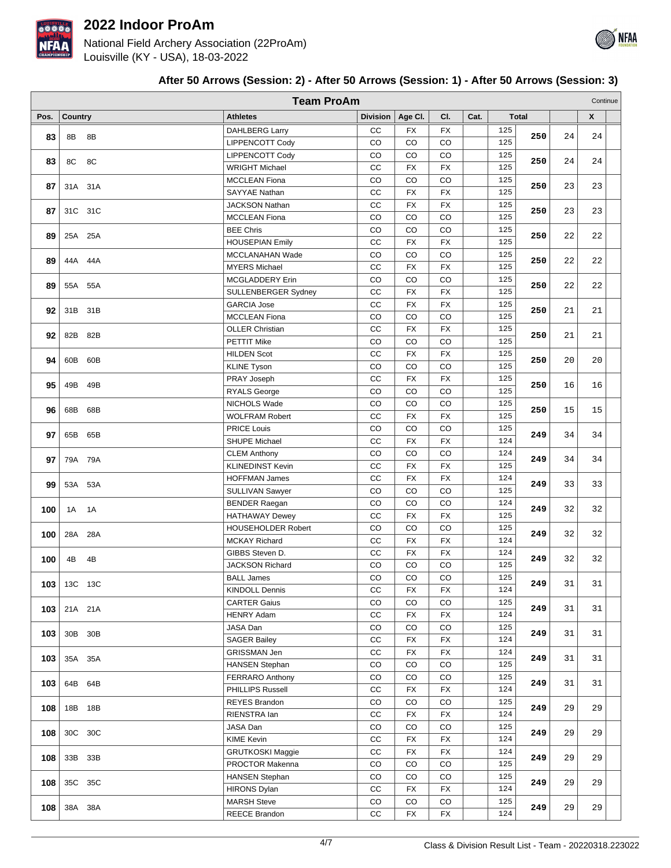

National Field Archery Association (22ProAm) Louisville (KY - USA), 18-03-2022

|      |                |         | <b>Team ProAm</b>                       |                 |             |             |      |            |              |    | Continue |  |
|------|----------------|---------|-----------------------------------------|-----------------|-------------|-------------|------|------------|--------------|----|----------|--|
| Pos. | <b>Country</b> |         | <b>Athletes</b>                         | <b>Division</b> | Age CI.     | CI.         | Cat. |            | <b>Total</b> |    | X        |  |
| 83   | 8B             | 8B      | <b>DAHLBERG Larry</b>                   | СC              | <b>FX</b>   | <b>FX</b>   |      | 125        | 250          | 24 | 24       |  |
|      |                |         | LIPPENCOTT Cody                         | CO              | CO          | CO          |      | 125        |              |    |          |  |
| 83   | 8C             | 8C      | LIPPENCOTT Cody                         | CO              | CO          | CO          |      | 125        | 250          | 24 | 24       |  |
|      |                |         | <b>WRIGHT Michael</b>                   | CC              | <b>FX</b>   | <b>FX</b>   |      | 125        |              |    |          |  |
| 87   |                | 31A 31A | <b>MCCLEAN Fiona</b>                    | CO              | CO          | CO          |      | 125        | 250          | 23 | 23       |  |
|      |                |         | SAYYAE Nathan                           | $_{\rm CC}$     | FX          | FX          |      | 125        |              |    |          |  |
| 87   |                | 31C 31C | <b>JACKSON Nathan</b>                   | CC              | <b>FX</b>   | ${\sf FX}$  |      | 125        | 250          | 23 | 23       |  |
|      |                |         | <b>MCCLEAN Fiona</b>                    | CO              | CO          | CO          |      | 125        |              |    |          |  |
| 89   |                | 25A 25A | <b>BEE Chris</b>                        | CO              | CO          | CO          |      | 125        | 250          | 22 | 22       |  |
|      |                |         | <b>HOUSEPIAN Emily</b>                  | CC              | FX          | FX          |      | 125        |              |    |          |  |
| 89   |                | 44A 44A | MCCLANAHAN Wade                         | CO              | CO          | CO          |      | 125        | 250          | 22 | 22       |  |
|      |                |         | <b>MYERS Michael</b><br>MCGLADDERY Erin | CC<br>CO        | FX<br>CO    | FX<br>CO    |      | 125<br>125 |              |    |          |  |
| 89   |                | 55A 55A | SULLENBERGER Sydney                     | $_{\rm CC}$     | FX          | FX          |      | 125        | 250          | 22 | 22       |  |
|      |                |         | <b>GARCIA Jose</b>                      | $_{\rm CC}$     | FX          | FX          |      | 125        |              |    |          |  |
| 92   |                | 31B 31B | <b>MCCLEAN Fiona</b>                    | CO              | CO          | CO          |      | 125        | 250          | 21 | 21       |  |
|      |                |         | <b>OLLER Christian</b>                  | CC              | <b>FX</b>   | <b>FX</b>   |      | 125        |              |    |          |  |
| 92   |                | 82B 82B | <b>PETTIT Mike</b>                      | CO              | CO          | CO          |      | 125        | 250          | 21 | 21       |  |
|      |                |         | <b>HILDEN Scot</b>                      | CC              | FX          | <b>FX</b>   |      | 125        |              |    |          |  |
| 94   |                | 60B 60B | <b>KLINE Tyson</b>                      | CO              | CO          | CO          |      | 125        | 250          | 20 | 20       |  |
|      |                |         | PRAY Joseph                             | cc              | FX          | <b>FX</b>   |      | 125        |              |    |          |  |
| 95   | 49B            | 49B     | <b>RYALS George</b>                     | CO              | CO          | CO          |      | 125        | 250          | 16 | 16       |  |
|      |                |         | NICHOLS Wade                            | CO              | CO          | CO          |      | 125        |              |    |          |  |
| 96   | 68B            | 68B     | <b>WOLFRAM Robert</b>                   | $_{\rm CC}$     | FX          | <b>FX</b>   |      | 125        | 250          | 15 | 15       |  |
|      |                |         | PRICE Louis                             | CO              | CO          | CO          |      | 125        |              |    |          |  |
| 97   |                | 65B 65B | <b>SHUPE Michael</b>                    | CC              | <b>FX</b>   | <b>FX</b>   |      | 124        | 249          | 34 | 34       |  |
|      |                |         | <b>CLEM Anthony</b>                     | CO              | CO          | CO          |      | 124        |              |    |          |  |
| 97   |                | 79A 79A | <b>KLINEDINST Kevin</b>                 | cc              | FX          | <b>FX</b>   |      | 125        | 249          | 34 | 34       |  |
|      |                |         | <b>HOFFMAN James</b>                    | cc              | <b>FX</b>   | <b>FX</b>   |      | 124        |              |    |          |  |
| 99   |                | 53A 53A | SULLIVAN Sawyer                         | CO              | CO          | CO          |      | 125        | 249          | 33 | 33       |  |
|      |                |         | <b>BENDER Raegan</b>                    | CO              | CO          | CO          |      | 124        |              |    |          |  |
| 100  | 1A 1A          |         | <b>HATHAWAY Dewey</b>                   | cc              | <b>FX</b>   | <b>FX</b>   |      | 125        | 249          | 32 | 32       |  |
|      |                |         | <b>HOUSEHOLDER Robert</b>               | CO              | CO          | CO          |      | 125        |              |    |          |  |
| 100  | 28A            | 28A     | <b>MCKAY Richard</b>                    | cc              | FX          | <b>FX</b>   |      | 124        | 249          | 32 | 32       |  |
|      |                |         | GIBBS Steven D.                         | CC              | <b>FX</b>   | <b>FX</b>   |      | 124        |              |    |          |  |
| 100  | 4B             | 4B      | JACKSON Richard                         | CO              | CO          | CO          |      | 125        | 249          | 32 | 32       |  |
|      |                |         | <b>BALL James</b>                       | $_{\rm CO}$     | $_{\rm CO}$ | $_{\rm CO}$ |      | 125        |              |    |          |  |
| 103  |                | 13C 13C | <b>KINDOLL Dennis</b>                   | СC              | FX          | FX          |      | 124        | 249          | 31 | 31       |  |
|      |                |         | <b>CARTER Gaius</b>                     | CO              | CO          | CO          |      | 125        |              |    |          |  |
| 103  |                | 21A 21A | <b>HENRY Adam</b>                       | cc              | FX          | FX          |      | 124        | 249          | 31 | 31       |  |
|      |                |         | JASA Dan                                | CO              | CO          | CO          |      | 125        | 249          | 31 | 31       |  |
| 103  |                | 30B 30B | <b>SAGER Bailey</b>                     | cc              | FX          | FX          |      | 124        |              |    |          |  |
| 103  |                | 35A 35A | <b>GRISSMAN Jen</b>                     | CC              | FX          | FX          |      | 124        | 249          | 31 | 31       |  |
|      |                |         | <b>HANSEN Stephan</b>                   | CO              | CO          | CO          |      | 125        |              |    |          |  |
| 103  |                | 64B 64B | <b>FERRARO Anthony</b>                  | CO              | CO          | CO          |      | 125        | 249          | 31 | 31       |  |
|      |                |         | PHILLIPS Russell                        | СC              | FX          | FX          |      | 124        |              |    |          |  |
| 108  |                | 18B 18B | <b>REYES Brandon</b>                    | CO              | CO          | CO          |      | 125        | 249          | 29 | 29       |  |
|      |                |         | RIENSTRA lan                            | cc              | FX          | FX          |      | 124        |              |    |          |  |
| 108  |                | 30C 30C | JASA Dan                                | CO              | CO          | CO          |      | 125        | 249          | 29 | 29       |  |
|      |                |         | <b>KIME Kevin</b>                       | СC              | FX          | FX          |      | 124        |              |    |          |  |
| 108  |                | 33B 33B | <b>GRUTKOSKI Maggie</b>                 | cc              | FX          | <b>FX</b>   |      | 124        | 249          | 29 | 29       |  |
|      |                |         | PROCTOR Makenna                         | CO              | CO          | CO          |      | 125        |              |    |          |  |
| 108  |                |         | <b>HANSEN Stephan</b>                   | CO              | CO          | CO          |      | 125        | 249          | 29 | 29       |  |
|      |                | 35C 35C | <b>HIRONS Dylan</b>                     | CC              | FX          | FX          |      | 124        |              |    |          |  |
| 108  |                | 38A 38A | <b>MARSH Steve</b>                      | CO              | CO          | CO          |      | 125        | 249          | 29 | 29       |  |
|      |                |         | REECE Brandon                           | CC              | FX          | FX          |      | 124        |              |    |          |  |

# **After 50 Arrows (Session: 2) - After 50 Arrows (Session: 1) - After 50 Arrows (Session: 3)**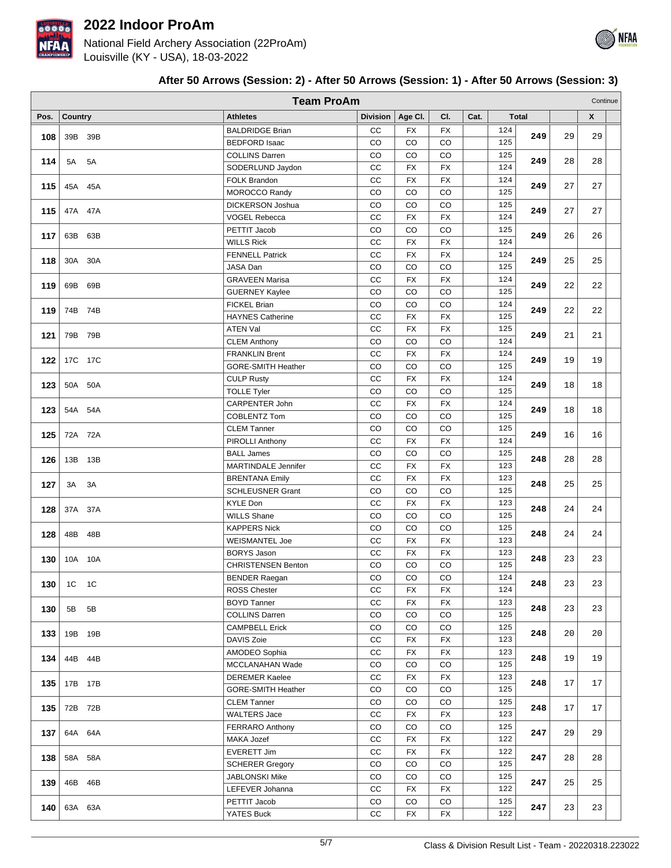

National Field Archery Association (22ProAm) Louisville (KY - USA), 18-03-2022

|      |         |         | <b>Team ProAm</b>                               |                 |                 |             |      |            |              |    | Continue           |  |
|------|---------|---------|-------------------------------------------------|-----------------|-----------------|-------------|------|------------|--------------|----|--------------------|--|
| Pos. |         |         | <b>Athletes</b>                                 | <b>Division</b> | Age Cl.         | CI.         | Cat. |            | <b>Total</b> |    | $\pmb{\mathsf{X}}$ |  |
|      | Country |         |                                                 | cc              |                 | <b>FX</b>   |      |            |              |    |                    |  |
| 108  |         | 39B 39B | <b>BALDRIDGE Brian</b><br><b>BEDFORD Isaac</b>  | CO              | <b>FX</b><br>CO | CO          |      | 124<br>125 | 249          | 29 | 29                 |  |
|      |         |         | <b>COLLINS Darren</b>                           | CO              | CO              | CO          |      | 125        |              |    |                    |  |
| 114  | 5A 5A   |         | SODERLUND Jaydon                                | cc              | FX              | <b>FX</b>   |      | 124        | 249          | 28 | 28                 |  |
|      |         |         | FOLK Brandon                                    | cc              | <b>FX</b>       | <b>FX</b>   |      | 124        |              |    |                    |  |
| 115  | 45A 45A |         | MOROCCO Randy                                   | CO              | CO              | CO          |      | 125        | 249          | 27 | 27                 |  |
|      |         |         | DICKERSON Joshua                                | $_{\rm CO}$     | CO              | CO          |      | 125        |              |    |                    |  |
| 115  | 47A 47A |         | <b>VOGEL Rebecca</b>                            | $_{\rm CC}$     | <b>FX</b>       | <b>FX</b>   |      | 124        | 249          | 27 | 27                 |  |
|      |         |         | PETTIT Jacob                                    | CO              | CO              | CO          |      | 125        |              |    |                    |  |
| 117  | 63B 63B |         | <b>WILLS Rick</b>                               | cc              | <b>FX</b>       | FX          |      | 124        | 249          | 26 | 26                 |  |
|      |         |         | <b>FENNELL Patrick</b>                          | cc              | FX              | <b>FX</b>   |      | 124        | 249          | 25 | 25                 |  |
| 118  | 30A 30A |         | JASA Dan                                        | CO              | CO              | CO          |      | 125        |              |    |                    |  |
| 119  | 69B 69B |         | <b>GRAVEEN Marisa</b>                           | cc              | <b>FX</b>       | FX          |      | 124        | 249          | 22 | 22                 |  |
|      |         |         | <b>GUERNEY Kaylee</b>                           | CO              | CO              | CO          |      | 125        |              |    |                    |  |
| 119  | 74B 74B |         | <b>FICKEL Brian</b>                             | CO              | CO              | CO          |      | 124        | 249          | 22 | 22                 |  |
|      |         |         | <b>HAYNES Catherine</b>                         | $_{\rm CC}$     | <b>FX</b>       | <b>FX</b>   |      | 125        |              |    |                    |  |
| 121  | 79B 79B |         | <b>ATEN Val</b>                                 | CC              | FX              | <b>FX</b>   |      | 125        | 249          | 21 | 21                 |  |
|      |         |         | <b>CLEM Anthony</b>                             | CO              | CO              | CO          |      | 124        |              |    |                    |  |
| 122  | 17C 17C |         | <b>FRANKLIN Brent</b>                           | cc              | <b>FX</b>       | FX          |      | 124        | 249          | 19 | 19                 |  |
|      |         |         | GORE-SMITH Heather                              | CO              | CO              | CO          |      | 125        |              |    |                    |  |
| 123  | 50A 50A |         | <b>CULP Rusty</b>                               | cc              | <b>FX</b>       | <b>FX</b>   |      | 124        | 249          | 18 | 18                 |  |
|      |         |         | <b>TOLLE Tyler</b>                              | CO              | CO              | CO          |      | 125        |              |    |                    |  |
| 123  | 54A 54A |         | CARPENTER John                                  | CC              | <b>FX</b>       | <b>FX</b>   |      | 124        | 249          | 18 | 18                 |  |
|      |         |         | <b>COBLENTZ Tom</b>                             | CO              | CO              | CO          |      | 125        |              |    |                    |  |
| 125  | 72A 72A |         | <b>CLEM Tanner</b>                              | CO              | CO              | CO          |      | 125        | 249          | 16 | 16                 |  |
|      |         |         | PIROLLI Anthony                                 | $_{\rm CC}$     | FX              | <b>FX</b>   |      | 124<br>125 |              |    |                    |  |
| 126  | 13B 13B |         | <b>BALL James</b><br><b>MARTINDALE Jennifer</b> | CO<br>cc        | CO<br><b>FX</b> | CO<br>FX    |      | 123        | 248          | 28 | 28                 |  |
|      |         |         | <b>BRENTANA Emily</b>                           | cc              | FX              | <b>FX</b>   |      | 123        |              |    |                    |  |
| 127  | 3A 3A   |         | <b>SCHLEUSNER Grant</b>                         | CO              | CO              | CO          |      | 125        | 248          | 25 | 25                 |  |
|      |         |         | <b>KYLE Don</b>                                 | cc              | <b>FX</b>       | <b>FX</b>   |      | 123        |              |    |                    |  |
| 128  | 37A 37A |         | <b>WILLS Shane</b>                              | CO              | CO              | CO          |      | 125        | 248          | 24 | 24                 |  |
|      |         |         | <b>KAPPERS Nick</b>                             | CO              | CO              | CO          |      | 125        |              |    |                    |  |
| 128  | 48B 48B |         | <b>WEISMANTEL Joe</b>                           | $_{\rm CC}$     | FX              | <b>FX</b>   |      | 123        | 248          | 24 | 24                 |  |
|      |         |         | <b>BORYS Jason</b>                              | $_{\rm CC}$     | FX              | <b>FX</b>   |      | 123        |              |    |                    |  |
| 130  | 10A 10A |         | <b>CHRISTENSEN Benton</b>                       | CO              | CO              | CO          |      | 125        | 248          | 23 | 23                 |  |
|      |         |         | <b>BENDER Raegan</b>                            | $_{\rm CO}$     | CO              | CO          |      | 124        |              |    |                    |  |
| 130  | 1C 1C   |         | <b>ROSS Chester</b>                             | СC              | <b>FX</b>       | FX          |      | 124        | 248          | 23 | 23                 |  |
|      |         |         | <b>BOYD Tanner</b>                              | cc              | FX              | FX          |      | 123        |              |    |                    |  |
| 130  | 5B      | 5B      | <b>COLLINS Darren</b>                           | CO              | CO              | $_{\rm CO}$ |      | 125        | 248          | 23 | 23                 |  |
| 133  | 19B 19B |         | <b>CAMPBELL Erick</b>                           | CO              | CO              | $_{\rm CO}$ |      | 125        | 248          | 20 | 20                 |  |
|      |         |         | DAVIS Zoie                                      | cc              | FX              | FX          |      | 123        |              |    |                    |  |
| 134  |         | 44B 44B | AMODEO Sophia                                   | CC              | FX              | FX          |      | 123        | 248          | 19 | 19                 |  |
|      |         |         | MCCLANAHAN Wade                                 | CO              | CO              | CO          |      | 125        |              |    |                    |  |
| 135  | 17B 17B |         | <b>DEREMER Kaelee</b>                           | CC              | FX              | FX          |      | 123        | 248          | 17 | 17                 |  |
|      |         |         | GORE-SMITH Heather                              | CO              | CO              | CO          |      | 125        |              |    |                    |  |
| 135  | 72B 72B |         | <b>CLEM Tanner</b>                              | CO              | CO              | CO          |      | 125        | 248          | 17 | 17                 |  |
|      |         |         | <b>WALTERS Jace</b>                             | cc              | FX              | FX          |      | 123        |              |    |                    |  |
| 137  | 64A 64A |         | <b>FERRARO Anthony</b>                          | $_{\rm CO}$     | CO              | $_{\rm CO}$ |      | 125        | 247          | 29 | 29                 |  |
|      |         |         | MAKA Jozef                                      | cc              | FX              | <b>FX</b>   |      | 122        |              |    |                    |  |
| 138  |         | 58A 58A | EVERETT Jim                                     | cc              | FX              | <b>FX</b>   |      | 122        | 247          | 28 | 28                 |  |
|      |         |         | <b>SCHERER Gregory</b>                          | CO              | CO              | CO          |      | 125        |              |    |                    |  |
| 139  |         | 46B 46B | JABLONSKI Mike                                  | CO              | CO              | CO          |      | 125        | 247          | 25 | 25                 |  |
|      |         |         | LEFEVER Johanna                                 | CC              | FX              | FX          |      | 122        |              |    |                    |  |
| 140  |         | 63A 63A | PETTIT Jacob                                    | CO              | CO              | CO          |      | 125        | 247          | 23 | 23                 |  |
|      |         |         | YATES Buck                                      | cc              | FX              | FX          |      | 122        |              |    |                    |  |

### **After 50 Arrows (Session: 2) - After 50 Arrows (Session: 1) - After 50 Arrows (Session: 3)**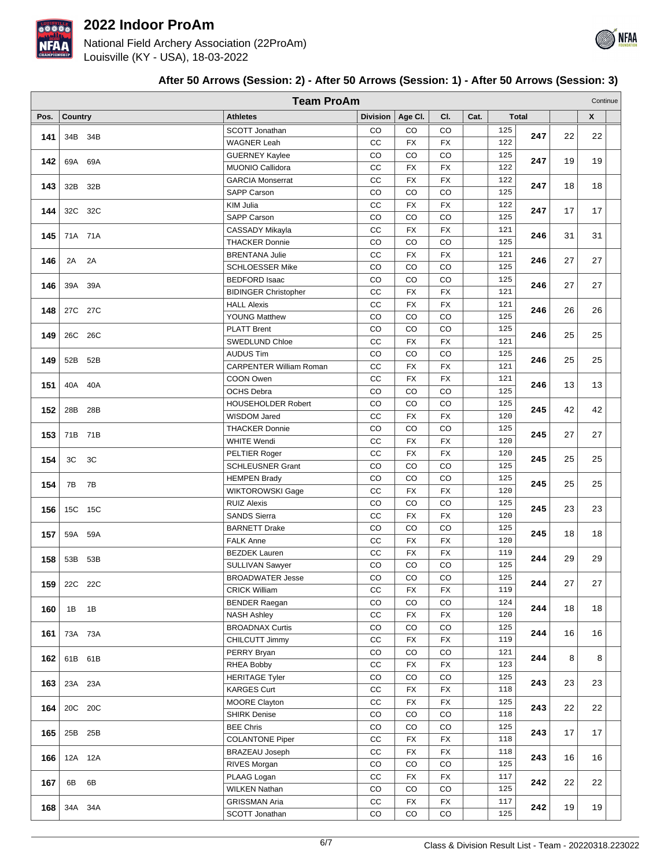

National Field Archery Association (22ProAm) Louisville (KY - USA), 18-03-2022

|      | <b>Team ProAm</b><br>Continue |         |  |                                             |                 |                 |                 |      |                         |              |    |                    |  |
|------|-------------------------------|---------|--|---------------------------------------------|-----------------|-----------------|-----------------|------|-------------------------|--------------|----|--------------------|--|
| Pos. |                               |         |  | <b>Athletes</b>                             |                 |                 | CI.             | Cat. |                         | <b>Total</b> |    | $\pmb{\mathsf{X}}$ |  |
|      | Country                       |         |  |                                             | <b>Division</b> | Age Cl.         |                 |      |                         |              |    |                    |  |
| 141  |                               | 34B 34B |  | <b>SCOTT Jonathan</b><br><b>WAGNER Leah</b> | CO<br>cc        | CO<br><b>FX</b> | CO<br><b>FX</b> |      | 125<br>122              | 247          | 22 | 22                 |  |
|      |                               |         |  | <b>GUERNEY Kaylee</b>                       | CO              | CO              | CO              |      | 125                     |              |    |                    |  |
| 142  |                               | 69A 69A |  | MUONIO Callidora                            | cc              | FX              | <b>FX</b>       |      | 122                     | 247          | 19 | 19                 |  |
|      |                               |         |  | <b>GARCIA Monserrat</b>                     | cc              | <b>FX</b>       | <b>FX</b>       |      | 122                     |              |    |                    |  |
| 143  |                               | 32B 32B |  | <b>SAPP Carson</b>                          | CO              | CO              | CO              |      | 125                     | 247          | 18 | 18                 |  |
|      |                               |         |  | <b>KIM Julia</b>                            | CC              | <b>FX</b>       | FX              |      | 122                     |              |    |                    |  |
| 144  |                               | 32C 32C |  | <b>SAPP Carson</b>                          | CO              | CO              | CO              |      | 125                     | 247          | 17 | 17                 |  |
|      |                               |         |  | CASSADY Mikayla                             | CC              | <b>FX</b>       | <b>FX</b>       |      | 121                     |              |    |                    |  |
| 145  |                               | 71A 71A |  | <b>THACKER Donnie</b>                       | CO              | CO              | CO              |      | 125                     | 246          | 31 | 31                 |  |
|      |                               |         |  | <b>BRENTANA Julie</b>                       | cc              | FX              | <b>FX</b>       |      | 121                     |              |    |                    |  |
| 146  |                               | 2A 2A   |  | <b>SCHLOESSER Mike</b>                      | CO              | CO              | CO              |      | 125                     | 246          | 27 | 27                 |  |
|      |                               |         |  | <b>BEDFORD Isaac</b>                        | CO              | CO              | CO              |      | 125                     |              |    |                    |  |
| 146  |                               | 39A 39A |  | <b>BIDINGER Christopher</b>                 | cc              | <b>FX</b>       | <b>FX</b>       |      | 121                     | 246          | 27 | 27                 |  |
|      |                               |         |  | <b>HALL Alexis</b>                          | CC              | <b>FX</b>       | <b>FX</b>       |      | 121                     |              | 26 | 26                 |  |
| 148  |                               | 27C 27C |  | <b>YOUNG Matthew</b>                        | CO              | CO              | CO              |      | 125                     | 246          |    |                    |  |
|      |                               | 26C 26C |  | <b>PLATT Brent</b>                          | CO              | CO              | CO              |      | 125                     |              | 25 | 25                 |  |
| 149  |                               |         |  | SWEDLUND Chloe                              | CC              | <b>FX</b>       | <b>FX</b>       |      | 121                     | 246          |    |                    |  |
| 149  |                               | 52B 52B |  | <b>AUDUS Tim</b>                            | CO              | CO              | $_{\rm CO}$     |      | 125                     | 246          | 25 | 25                 |  |
|      |                               |         |  | <b>CARPENTER William Roman</b>              | cc              | FX              | <b>FX</b>       |      | 121                     |              |    |                    |  |
| 151  |                               | 40A 40A |  | COON Owen                                   | cc              | FX              | <b>FX</b>       |      | 121                     | 246          | 13 | 13                 |  |
|      |                               |         |  | <b>OCHS Debra</b>                           | CO              | CO              | CO              |      | 125                     |              |    |                    |  |
| 152  |                               | 28B 28B |  | <b>HOUSEHOLDER Robert</b>                   | CO              | CO              | CO              |      | 125                     | 245          | 42 | 42                 |  |
|      |                               |         |  | WISDOM Jared                                | CC              | <b>FX</b>       | <b>FX</b>       |      | 120                     |              |    |                    |  |
| 153  | 71B 71B                       |         |  | <b>THACKER Donnie</b>                       | CO              | CO              | CO              |      | 125                     | 245          | 27 | 27                 |  |
|      |                               |         |  | WHITE Wendi                                 | $_{\rm CC}$     | <b>FX</b>       | <b>FX</b>       |      | 120                     |              |    |                    |  |
| 154  |                               | 3C 3C   |  | <b>PELTIER Roger</b>                        | CC              | FX              | <b>FX</b>       |      | 120                     | 245          | 25 | 25                 |  |
|      |                               |         |  | <b>SCHLEUSNER Grant</b>                     | CO              | CO              | CO              |      | 125                     |              |    |                    |  |
| 154  | 7B 7B                         |         |  | <b>HEMPEN Brady</b>                         | CO              | CO              | CO              |      | 125                     | 245          | 25 | 25                 |  |
|      |                               |         |  | <b>WIKTOROWSKI Gage</b>                     | CC              | <b>FX</b>       | FX              |      | 120                     |              |    |                    |  |
| 156  |                               | 15C 15C |  | <b>RUIZ Alexis</b>                          | CO              | CO              | CO              |      | 125                     | 245          | 23 | 23                 |  |
|      |                               |         |  | <b>SANDS Sierra</b>                         | cc              | FX              | <b>FX</b>       |      | 120                     |              |    |                    |  |
| 157  |                               | 59A 59A |  | <b>BARNETT Drake</b>                        | CO              | CO              | CO              |      | 125                     | 245          | 18 | 18                 |  |
|      |                               |         |  | <b>FALK Anne</b>                            | $_{\rm CC}$     | FX              | <b>FX</b>       |      | 120                     |              |    |                    |  |
| 158  |                               | 53B 53B |  | <b>BEZDEK Lauren</b>                        | CC              | FX              | <b>FX</b>       |      | 119                     | 244          | 29 | 29                 |  |
|      |                               |         |  | <b>SULLIVAN Sawyer</b>                      | CO              | CO              | CO              |      | 125<br>$\overline{125}$ |              |    |                    |  |
| 159  |                               | 22C 22C |  | <b>BROADWATER Jesse</b>                     | CO              | CO              | CO              |      |                         | 244          | 27 | 27                 |  |
|      |                               |         |  | <b>CRICK William</b>                        | cc<br>CO        | <b>FX</b><br>CO | FX<br>CO        |      | 119<br>124              |              |    |                    |  |
| 160  | 1B 1B                         |         |  | <b>BENDER Raegan</b><br><b>NASH Ashley</b>  | CC              | FX              | <b>FX</b>       |      | 120                     | 244          | 18 | 18                 |  |
|      |                               |         |  | <b>BROADNAX Curtis</b>                      | $_{\rm CO}$     | CO              | $_{\rm CO}$     |      | 125                     |              |    |                    |  |
| 161  |                               | 73A 73A |  | CHILCUTT Jimmy                              | cc              | FX              | <b>FX</b>       |      | 119                     | 244          | 16 | 16                 |  |
|      |                               |         |  | PERRY Bryan                                 | $_{\rm CO}$     | CO              | CO              |      | 121                     |              |    |                    |  |
| 162  |                               | 61B 61B |  | RHEA Bobby                                  | CC              | FX              | FX              |      | 123                     | 244          | 8  | 8                  |  |
|      |                               |         |  | <b>HERITAGE Tyler</b>                       | CO              | CO              | CO              |      | 125                     |              |    |                    |  |
| 163  |                               | 23A 23A |  | <b>KARGES Curt</b>                          | cc              | FX              | FX              |      | 118                     | 243          | 23 | 23                 |  |
|      |                               |         |  | <b>MOORE Clayton</b>                        | cc              | FX              | <b>FX</b>       |      | 125                     |              |    |                    |  |
| 164  |                               | 20C 20C |  | <b>SHIRK Denise</b>                         | CO              | CO              | $_{\rm CO}$     |      | 118                     | 243          | 22 | 22                 |  |
|      |                               |         |  | <b>BEE Chris</b>                            | $_{\rm CO}$     | CO              | $_{\rm CO}$     |      | 125                     |              |    |                    |  |
| 165  |                               | 25B 25B |  | <b>COLANTONE Piper</b>                      | CC              | FX              | <b>FX</b>       |      | 118                     | 243          | 17 | 17                 |  |
|      |                               |         |  | <b>BRAZEAU Joseph</b>                       | cc              | FX              | <b>FX</b>       |      | 118                     |              |    |                    |  |
| 166  |                               | 12A 12A |  | RIVES Morgan                                | $_{\rm CO}$     | CO              | CO              |      | 125                     | 243          | 16 | 16                 |  |
|      |                               |         |  | PLAAG Logan                                 | CC              | FX              | FX              |      | 117                     |              |    |                    |  |
| 167  | 6B                            | 6B      |  | <b>WILKEN Nathan</b>                        | CO              | CO              | CO              |      | 125                     | 242          | 22 | 22                 |  |
|      |                               |         |  | <b>GRISSMAN Aria</b>                        | cc              | FX              | FX              |      | 117                     |              |    |                    |  |
| 168  |                               | 34A 34A |  | SCOTT Jonathan                              | $_{\rm CO}$     | CO              | CO              |      | 125                     | 242          | 19 | 19                 |  |

#### **After 50 Arrows (Session: 2) - After 50 Arrows (Session: 1) - After 50 Arrows (Session: 3)**